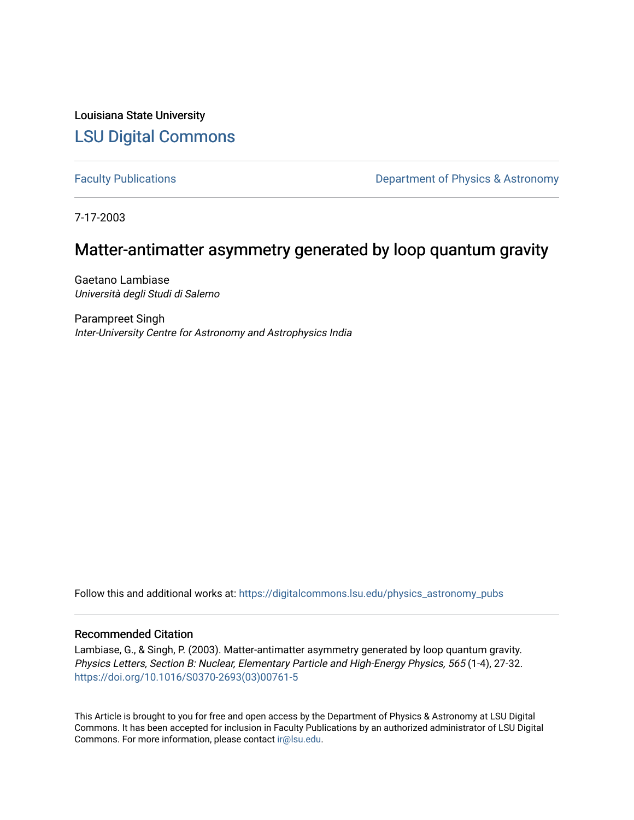Louisiana State University [LSU Digital Commons](https://digitalcommons.lsu.edu/)

[Faculty Publications](https://digitalcommons.lsu.edu/physics_astronomy_pubs) **Exercise 2 and Table 2 and Table 2 and Table 2 and Table 2 and Table 2 and Table 2 and Table 2 and Table 2 and Table 2 and Table 2 and Table 2 and Table 2 and Table 2 and Table 2 and Table 2 and Table** 

7-17-2003

## Matter-antimatter asymmetry generated by loop quantum gravity

Gaetano Lambiase Università degli Studi di Salerno

Parampreet Singh Inter-University Centre for Astronomy and Astrophysics India

Follow this and additional works at: [https://digitalcommons.lsu.edu/physics\\_astronomy\\_pubs](https://digitalcommons.lsu.edu/physics_astronomy_pubs?utm_source=digitalcommons.lsu.edu%2Fphysics_astronomy_pubs%2F5105&utm_medium=PDF&utm_campaign=PDFCoverPages) 

### Recommended Citation

Lambiase, G., & Singh, P. (2003). Matter-antimatter asymmetry generated by loop quantum gravity. Physics Letters, Section B: Nuclear, Elementary Particle and High-Energy Physics, 565 (1-4), 27-32. [https://doi.org/10.1016/S0370-2693\(03\)00761-5](https://doi.org/10.1016/S0370-2693(03)00761-5) 

This Article is brought to you for free and open access by the Department of Physics & Astronomy at LSU Digital Commons. It has been accepted for inclusion in Faculty Publications by an authorized administrator of LSU Digital Commons. For more information, please contact [ir@lsu.edu](mailto:ir@lsu.edu).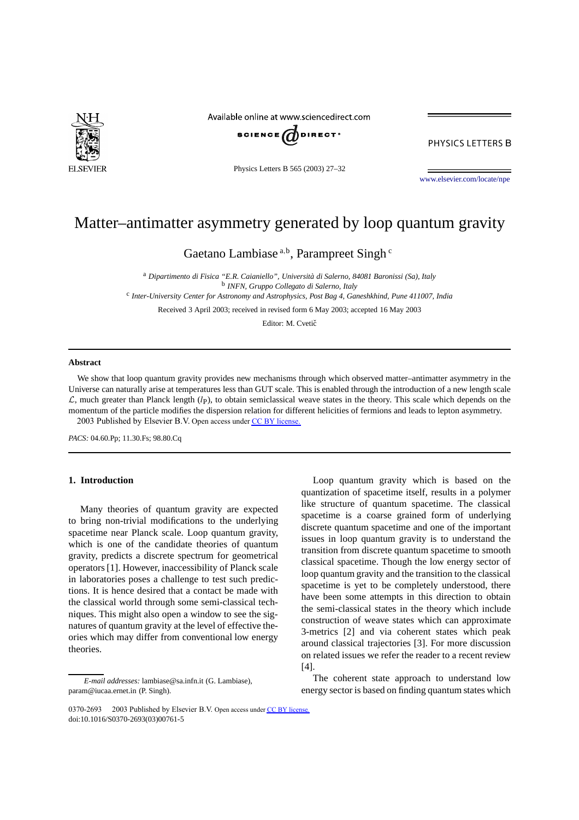

Available online at www.sciencedirect.com



PHYSICS LETTERS B

Physics Letters B 565 (2003) 27–32

[www.elsevier.com/locate/npe](http://www.elsevier.com/locate/npe)

# Matter–antimatter asymmetry generated by loop quantum gravity

Gaetano Lambiase<sup>a,b</sup>, Parampreet Singh<sup>c</sup>

<sup>a</sup> *Dipartimento di Fisica "E.R. Caianiello", Università di Salerno, 84081 Baronissi (Sa), Italy* <sup>b</sup> *INFN, Gruppo Collegato di Salerno, Italy*

<sup>c</sup> *Inter-University Center for Astronomy and Astrophysics, Post Bag 4, Ganeshkhind, Pune 411007, India*

Received 3 April 2003; received in revised form 6 May 2003; accepted 16 May 2003

Editor: M. Cvetič

#### **Abstract**

We show that loop quantum gravity provides new mechanisms through which observed matter–antimatter asymmetry in the Universe can naturally arise at temperatures less than GUT scale. This is enabled through the introduction of a new length scale  $\mathcal{L}$ , much greater than Planck length  $(l_p)$ , to obtain semiclassical weave states in the theory. This scale which depends on the momentum of the particle modifies the dispersion relation for different helicities of fermions and leads to lepton asymmetry.  $© 2003 Published by Elsevier B.V. Open access under CC BY license.$  $© 2003 Published by Elsevier B.V. Open access under CC BY license.$ 

*PACS:* 04.60.Pp; 11.30.Fs; 98.80.Cq

#### **1. Introduction**

Many theories of quantum gravity are expected to bring non-trivial modifications to the underlying spacetime near Planck scale. Loop quantum gravity, which is one of the candidate theories of quantum gravity, predicts a discrete spectrum for geometrical operators [1]. However, inaccessibility of Planck scale in laboratories poses a challenge to test such predictions. It is hence desired that a contact be made with the classical world through some semi-classical techniques. This might also open a window to see the signatures of quantum gravity at the level of effective theories which may differ from conventional low energy theories.

*E-mail addresses:* lambiase@sa.infn.it (G. Lambiase), param@iucaa.ernet.in (P. Singh).

Loop quantum gravity which is based on the quantization of spacetime itself, results in a polymer like structure of quantum spacetime. The classical spacetime is a coarse grained form of underlying discrete quantum spacetime and one of the important issues in loop quantum gravity is to understand the transition from discrete quantum spacetime to smooth classical spacetime. Though the low energy sector of loop quantum gravity and the transition to the classical spacetime is yet to be completely understood, there have been some attempts in this direction to obtain the semi-classical states in the theory which include construction of weave states which can approximate 3-metrics [2] and via coherent states which peak around classical trajectories [3]. For more discussion on related issues we refer the reader to a recent review [4].

The coherent state approach to understand low energy sector is based on finding quantum states which

<sup>0370-2693 © 2003</sup> Published by Elsevier B.V. Open access under CC BY [license.](http://creativecommons.org/licenses/by/3.0/) doi:10.1016/S0370-2693(03)00761-5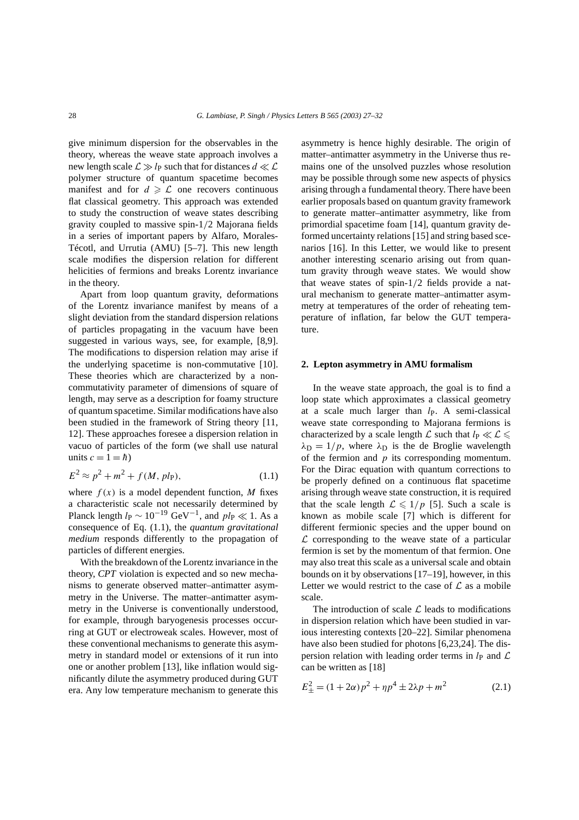give minimum dispersion for the observables in the theory, whereas the weave state approach involves a new length scale  $\mathcal{L} \gg l_P$  such that for distances  $d \ll \mathcal{L}$ polymer structure of quantum spacetime becomes manifest and for  $d \geqslant \mathcal{L}$  one recovers continuous flat classical geometry. This approach was extended to study the construction of weave states describing gravity coupled to massive spin-1*/*2 Majorana fields in a series of important papers by Alfaro, Morales-Técotl, and Urrutia (AMU) [5–7]. This new length scale modifies the dispersion relation for different helicities of fermions and breaks Lorentz invariance in the theory.

Apart from loop quantum gravity, deformations of the Lorentz invariance manifest by means of a slight deviation from the standard dispersion relations of particles propagating in the vacuum have been suggested in various ways, see, for example, [8,9]. The modifications to dispersion relation may arise if the underlying spacetime is non-commutative [10]. These theories which are characterized by a noncommutativity parameter of dimensions of square of length, may serve as a description for foamy structure of quantum spacetime. Similar modifications have also been studied in the framework of String theory [11, 12]. These approaches foresee a dispersion relation in vacuo of particles of the form (we shall use natural units  $c = 1 = \hbar$ )

$$
E^2 \approx p^2 + m^2 + f(M, \, pl_P),\tag{1.1}
$$

where  $f(x)$  is a model dependent function, M fixes a characteristic scale not necessarily determined by Planck length  $l_P \sim 10^{-19} \text{ GeV}^{-1}$ , and  $pl_P \ll 1$ . As a consequence of Eq. (1.1), the *quantum gravitational medium* responds differently to the propagation of particles of different energies.

With the breakdown of the Lorentz invariance in the theory, *CPT* violation is expected and so new mechanisms to generate observed matter–antimatter asymmetry in the Universe. The matter–antimatter asymmetry in the Universe is conventionally understood, for example, through baryogenesis processes occurring at GUT or electroweak scales. However, most of these conventional mechanisms to generate this asymmetry in standard model or extensions of it run into one or another problem [13], like inflation would significantly dilute the asymmetry produced during GUT era. Any low temperature mechanism to generate this

asymmetry is hence highly desirable. The origin of matter–antimatter asymmetry in the Universe thus remains one of the unsolved puzzles whose resolution may be possible through some new aspects of physics arising through a fundamental theory. There have been earlier proposals based on quantum gravity framework to generate matter–antimatter asymmetry, like from primordial spacetime foam [14], quantum gravity deformed uncertainty relations [15] and string based scenarios [16]. In this Letter, we would like to present another interesting scenario arising out from quantum gravity through weave states. We would show that weave states of spin-1*/*2 fields provide a natural mechanism to generate matter–antimatter asymmetry at temperatures of the order of reheating temperature of inflation, far below the GUT temperature.

#### **2. Lepton asymmetry in AMU formalism**

In the weave state approach, the goal is to find a loop state which approximates a classical geometry at a scale much larger than *l*P. A semi-classical weave state corresponding to Majorana fermions is characterized by a scale length  $\mathcal{L}$  such that  $l_P \ll \mathcal{L} \leq$  $\lambda_D = 1/p$ , where  $\lambda_D$  is the de Broglie wavelength of the fermion and *p* its corresponding momentum. For the Dirac equation with quantum corrections to be properly defined on a continuous flat spacetime arising through weave state construction, it is required that the scale length  $\mathcal{L} \leq 1/p$  [5]. Such a scale is known as mobile scale [7] which is different for different fermionic species and the upper bound on  $\mathcal L$  corresponding to the weave state of a particular fermion is set by the momentum of that fermion. One may also treat this scale as a universal scale and obtain bounds on it by observations [17–19], however, in this Letter we would restrict to the case of  $\mathcal L$  as a mobile scale.

The introduction of scale  $\mathcal L$  leads to modifications in dispersion relation which have been studied in various interesting contexts [20–22]. Similar phenomena have also been studied for photons [6,23,24]. The dispersion relation with leading order terms in  $l_P$  and  $\mathcal L$ can be written as [18]

$$
E_{\pm}^{2} = (1 + 2\alpha)p^{2} + \eta p^{4} \pm 2\lambda p + m^{2}
$$
 (2.1)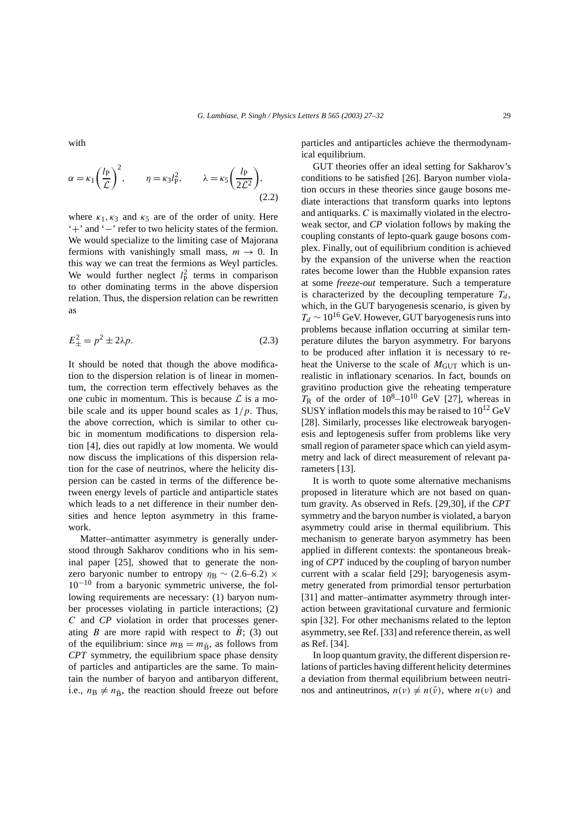with

$$
\alpha = \kappa_1 \left(\frac{l_P}{\mathcal{L}}\right)^2, \qquad \eta = \kappa_3 l_P^2, \qquad \lambda = \kappa_5 \left(\frac{l_P}{2\mathcal{L}^2}\right),\tag{2.2}
$$

where  $\kappa_1, \kappa_3$  and  $\kappa_5$  are of the order of unity. Here '+' and '−' refer to two helicity states of the fermion. We would specialize to the limiting case of Majorana fermions with vanishingly small mass,  $m \to 0$ . In this way we can treat the fermions as Weyl particles. We would further neglect  $l_P^2$  terms in comparison to other dominating terms in the above dispersion relation. Thus, the dispersion relation can be rewritten as

$$
E_{\pm}^{2} = p^{2} \pm 2\lambda p.
$$
 (2.3)

It should be noted that though the above modification to the dispersion relation is of linear in momentum, the correction term effectively behaves as the one cubic in momentum. This is because  $\mathcal L$  is a mobile scale and its upper bound scales as 1*/p*. Thus, the above correction, which is similar to other cubic in momentum modifications to dispersion relation [4], dies out rapidly at low momenta. We would now discuss the implications of this dispersion relation for the case of neutrinos, where the helicity dispersion can be casted in terms of the difference between energy levels of particle and antiparticle states which leads to a net difference in their number densities and hence lepton asymmetry in this framework.

Matter–antimatter asymmetry is generally understood through Sakharov conditions who in his seminal paper [25], showed that to generate the nonzero baryonic number to entropy  $\eta_B \sim (2.6-6.2) \times$  $10^{-10}$  from a baryonic symmetric universe, the following requirements are necessary: (1) baryon number processes violating in particle interactions; (2) *C* and *CP* violation in order that processes generating  $B$  are more rapid with respect to  $B$ ; (3) out of the equilibrium: since  $m_B = m_{\overline{B}}$ , as follows from *CPT* symmetry, the equilibrium space phase density of particles and antiparticles are the same. To maintain the number of baryon and antibaryon different, i.e.,  $n_{\text{B}} \neq n_{\bar{\text{B}}}$ , the reaction should freeze out before particles and antiparticles achieve the thermodynamical equilibrium.

GUT theories offer an ideal setting for Sakharov's conditions to be satisfied [26]. Baryon number violation occurs in these theories since gauge bosons mediate interactions that transform quarks into leptons and antiquarks. *C* is maximally violated in the electroweak sector, and *CP* violation follows by making the coupling constants of lepto-quark gauge bosons complex. Finally, out of equilibrium condition is achieved by the expansion of the universe when the reaction rates become lower than the Hubble expansion rates at some *freeze-out* temperature. Such a temperature is characterized by the decoupling temperature  $T_d$ , which, in the GUT baryogenesis scenario, is given by  $T_d \sim 10^{16}$  GeV. However, GUT baryogenesis runs into problems because inflation occurring at similar temperature dilutes the baryon asymmetry. For baryons to be produced after inflation it is necessary to reheat the Universe to the scale of  $M_{\text{GUT}}$  which is unrealistic in inflationary scenarios. In fact, bounds on gravitino production give the reheating temperature  $T_R$  of the order of  $10^8 - 10^{10}$  GeV [27], whereas in SUSY inflation models this may be raised to  $10^{12}$  GeV [28]. Similarly, processes like electroweak baryogenesis and leptogenesis suffer from problems like very small region of parameter space which can yield asymmetry and lack of direct measurement of relevant parameters [13].

It is worth to quote some alternative mechanisms proposed in literature which are not based on quantum gravity. As observed in Refs. [29,30], if the *CPT* symmetry and the baryon number is violated, a baryon asymmetry could arise in thermal equilibrium. This mechanism to generate baryon asymmetry has been applied in different contexts: the spontaneous breaking of *CPT* induced by the coupling of baryon number current with a scalar field [29]; baryogenesis asymmetry generated from primordial tensor perturbation [31] and matter–antimatter asymmetry through interaction between gravitational curvature and fermionic spin [32]. For other mechanisms related to the lepton asymmetry, see Ref. [33] and reference therein, as well as Ref. [34].

In loop quantum gravity, the different dispersion relations of particles having different helicity determines a deviation from thermal equilibrium between neutrinos and antineutrinos,  $n(v) \neq n(\bar{v})$ , where  $n(v)$  and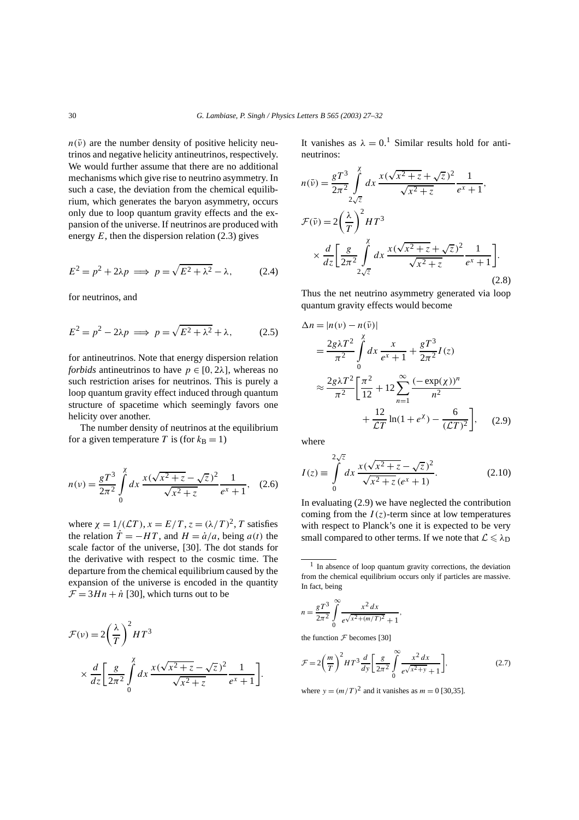$n(\bar{v})$  are the number density of positive helicity neutrinos and negative helicity antineutrinos, respectively. We would further assume that there are no additional mechanisms which give rise to neutrino asymmetry. In such a case, the deviation from the chemical equilibrium, which generates the baryon asymmetry, occurs only due to loop quantum gravity effects and the expansion of the universe. If neutrinos are produced with energy  $E$ , then the dispersion relation  $(2.3)$  gives

$$
E^2 = p^2 + 2\lambda p \implies p = \sqrt{E^2 + \lambda^2} - \lambda,\tag{2.4}
$$

for neutrinos, and

$$
E^2 = p^2 - 2\lambda p \implies p = \sqrt{E^2 + \lambda^2} + \lambda,\tag{2.5}
$$

for antineutrinos. Note that energy dispersion relation *forbids* antineutrinos to have  $p \in [0, 2\lambda]$ , whereas no such restriction arises for neutrinos. This is purely a loop quantum gravity effect induced through quantum structure of spacetime which seemingly favors one helicity over another.

The number density of neutrinos at the equilibrium for a given temperature *T* is (for  $k_B = 1$ )

$$
n(v) = \frac{gT^3}{2\pi^2} \int_0^{\chi} dx \frac{x(\sqrt{x^2 + z} - \sqrt{z})^2}{\sqrt{x^2 + z}} \frac{1}{e^x + 1}, \quad (2.6)
$$

where  $\chi = 1/(\mathcal{L}T)$ ,  $x = E/T$ ,  $z = (\lambda/T)^2$ , *T* satisfies the relation  $\dot{T} = -HT$ , and  $H = \dot{a}/a$ , being  $a(t)$  the scale factor of the universe, [30]. The dot stands for the derivative with respect to the cosmic time. The departure from the chemical equilibrium caused by the expansion of the universe is encoded in the quantity  $\mathcal{F} = 3Hn + \dot{n}$  [30], which turns out to be

$$
\mathcal{F}(\nu) = 2\left(\frac{\lambda}{T}\right)^2 H T^3
$$
  
 
$$
\times \frac{d}{dz} \left[\frac{g}{2\pi^2} \int_0^{\chi} dx \frac{x(\sqrt{x^2 + z} - \sqrt{z})^2}{\sqrt{x^2 + z}} \frac{1}{e^x + 1}\right].
$$

It vanishes as  $\lambda = 0$ .<sup>1</sup> Similar results hold for antineutrinos:

$$
n(\bar{v}) = \frac{gT^3}{2\pi^2} \int_{2\sqrt{z}}^{\chi} dx \frac{x(\sqrt{x^2 + z} + \sqrt{z})^2}{\sqrt{x^2 + z}} \frac{1}{e^x + 1},
$$
  

$$
\mathcal{F}(\bar{v}) = 2\left(\frac{\lambda}{T}\right)^2 H T^3
$$
  

$$
\times \frac{d}{dz} \left[\frac{g}{2\pi^2} \int_{2\sqrt{z}}^{\chi} dx \frac{x(\sqrt{x^2 + z} + \sqrt{z})^2}{\sqrt{x^2 + z}} \frac{1}{e^x + 1}\right].
$$
(2.8)

Thus the net neutrino asymmetry generated via loop quantum gravity effects would become

$$
\Delta n = |n(v) - n(\bar{v})|
$$
  
=  $\frac{2g\lambda T^2}{\pi^2} \int_0^{\chi} dx \frac{x}{e^x + 1} + \frac{gT^3}{2\pi^2} I(z)$   

$$
\approx \frac{2g\lambda T^2}{\pi^2} \left[ \frac{\pi^2}{12} + 12 \sum_{n=1}^{\infty} \frac{(-\exp(\chi))^n}{n^2} + \frac{12}{\mathcal{L}T} \ln(1 + e^{\chi}) - \frac{6}{(\mathcal{L}T)^2} \right], \quad (2.9)
$$

where

$$
I(z) \equiv \int_{0}^{2\sqrt{z}} dx \frac{x(\sqrt{x^2 + z} - \sqrt{z})^2}{\sqrt{x^2 + z} (e^x + 1)}.
$$
 (2.10)

In evaluating (2.9) we have neglected the contribution coming from the  $I(z)$ -term since at low temperatures with respect to Planck's one it is expected to be very small compared to other terms. If we note that  $\mathcal{L} \leq \lambda_D$ 

$$
n = \frac{gT^3}{2\pi^2} \int_{0}^{\infty} \frac{x^2 dx}{e^{\sqrt{x^2 + (m/T)^2}} + 1},
$$

the function  $\mathcal F$  becomes [30]

$$
\mathcal{F} = 2\left(\frac{m}{T}\right)^2 H T^3 \frac{d}{dy} \left[\frac{g}{2\pi^2} \int\limits_0^\infty \frac{x^2 dx}{e^{\sqrt{x^2 + y}} + 1}\right],\tag{2.7}
$$

where  $y = (m/T)^2$  and it vanishes as  $m = 0$  [30,35].

 $1$  In absence of loop quantum gravity corrections, the deviation from the chemical equilibrium occurs only if particles are massive. In fact, being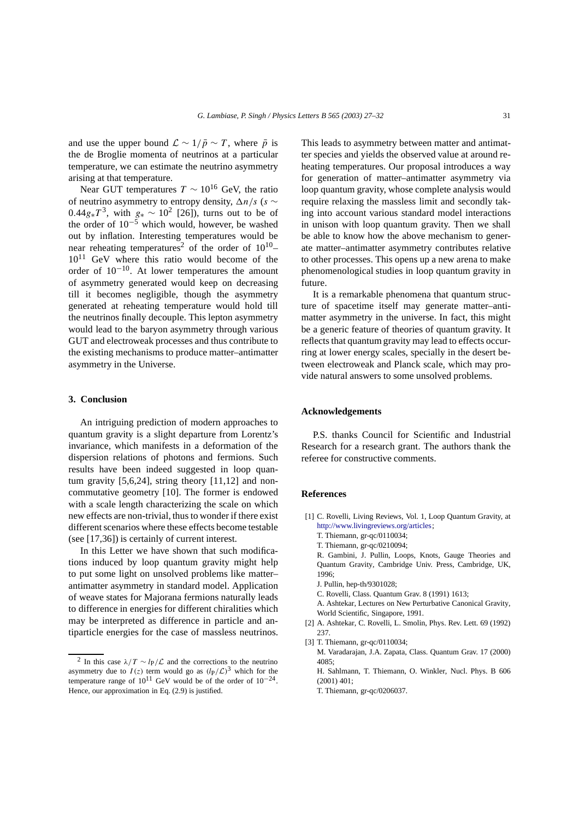and use the upper bound  $\mathcal{L} \sim 1/\bar{p} \sim T$ , where  $\bar{p}$  is the de Broglie momenta of neutrinos at a particular temperature, we can estimate the neutrino asymmetry arising at that temperature.

Near GUT temperatures  $T \sim 10^{16}$  GeV, the ratio of neutrino asymmetry to entropy density,  $\Delta n/s$  ( $s \sim$ 0.44 $g_{*}T^{3}$ , with  $g_{*} \sim 10^{2}$  [26]), turns out to be of the order of  $10^{-5}$  which would, however, be washed out by inflation. Interesting temperatures would be near reheating temperatures<sup>2</sup> of the order of  $10^{10}$ –  $10^{11}$  GeV where this ratio would become of the order of  $10^{-10}$ . At lower temperatures the amount of asymmetry generated would keep on decreasing till it becomes negligible, though the asymmetry generated at reheating temperature would hold till the neutrinos finally decouple. This lepton asymmetry would lead to the baryon asymmetry through various GUT and electroweak processes and thus contribute to the existing mechanisms to produce matter–antimatter asymmetry in the Universe.

#### **3. Conclusion**

An intriguing prediction of modern approaches to quantum gravity is a slight departure from Lorentz's invariance, which manifests in a deformation of the dispersion relations of photons and fermions. Such results have been indeed suggested in loop quantum gravity  $[5,6,24]$ , string theory  $[11,12]$  and noncommutative geometry [10]. The former is endowed with a scale length characterizing the scale on which new effects are non-trivial, thus to wonder if there exist different scenarios where these effects become testable (see [17,36]) is certainly of current interest.

In this Letter we have shown that such modifications induced by loop quantum gravity might help to put some light on unsolved problems like matter– antimatter asymmetry in standard model. Application of weave states for Majorana fermions naturally leads to difference in energies for different chiralities which may be interpreted as difference in particle and antiparticle energies for the case of massless neutrinos.

This leads to asymmetry between matter and antimatter species and yields the observed value at around reheating temperatures. Our proposal introduces a way for generation of matter–antimatter asymmetry via loop quantum gravity, whose complete analysis would require relaxing the massless limit and secondly taking into account various standard model interactions in unison with loop quantum gravity. Then we shall be able to know how the above mechanism to generate matter–antimatter asymmetry contributes relative to other processes. This opens up a new arena to make phenomenological studies in loop quantum gravity in future.

It is a remarkable phenomena that quantum structure of spacetime itself may generate matter–antimatter asymmetry in the universe. In fact, this might be a generic feature of theories of quantum gravity. It reflects that quantum gravity may lead to effects occurring at lower energy scales, specially in the desert between electroweak and Planck scale, which may provide natural answers to some unsolved problems.

#### **Acknowledgements**

P.S. thanks Council for Scientific and Industrial Research for a research grant. The authors thank the referee for constructive comments.

#### **References**

- [1] C. Rovelli, Living Reviews, Vol. 1, Loop Quantum Gravity, at [http://www.livingreviews.org/articles;](http://www.livingreviews.org/articles)
	- T. Thiemann, gr-qc/0110034;
	- T. Thiemann, gr-qc/0210094;
	- R. Gambini, J. Pullin, Loops, Knots, Gauge Theories and Quantum Gravity, Cambridge Univ. Press, Cambridge, UK, 1996;
	- J. Pullin, hep-th/9301028;
	- C. Rovelli, Class. Quantum Grav. 8 (1991) 1613;
	- A. Ashtekar, Lectures on New Perturbative Canonical Gravity, World Scientific, Singapore, 1991.
- [2] A. Ashtekar, C. Rovelli, L. Smolin, Phys. Rev. Lett. 69 (1992) 237.

[3] T. Thiemann, gr-qc/0110034;

- M. Varadarajan, J.A. Zapata, Class. Quantum Grav. 17 (2000) 4085;
- H. Sahlmann, T. Thiemann, O. Winkler, Nucl. Phys. B 606 (2001) 401;
- T. Thiemann, gr-qc/0206037.

<sup>&</sup>lt;sup>2</sup> In this case  $\lambda/T \sim l_P/L$  and the corrections to the neutrino asymmetry due to  $I(z)$  term would go as  $(l_P/L)^3$  which for the temperature range of  $10^{11}$  GeV would be of the order of  $10^{-24}$ . Hence, our approximation in Eq. (2.9) is justified.